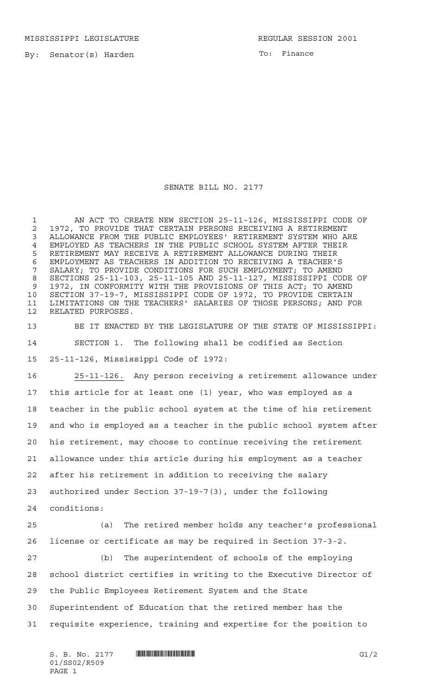MISSISSIPPI LEGISLATURE **REGULAR SESSION 2001** 

By: Senator(s) Harden

To: Finance

## SENATE BILL NO. 2177

 AN ACT TO CREATE NEW SECTION 25-11-126, MISSISSIPPI CODE OF 2 1972, TO PROVIDE THAT CERTAIN PERSONS RECEIVING A RETIREMENT<br>3 ALLOWANCE FROM THE PUBLIC EMPLOYEES' RETIREMENT SYSTEM WHO AI ALLOWANCE FROM THE PUBLIC EMPLOYEES' RETIREMENT SYSTEM WHO ARE EMPLOYED AS TEACHERS IN THE PUBLIC SCHOOL SYSTEM AFTER THEIR RETIREMENT MAY RECEIVE A RETIREMENT ALLOWANCE DURING THEIR EMPLOYMENT AS TEACHERS IN ADDITION TO RECEIVING A TEACHER'S SALARY; TO PROVIDE CONDITIONS FOR SUCH EMPLOYMENT; TO AMEND SECTIONS 25-11-103, 25-11-105 AND 25-11-127, MISSISSIPPI CODE OF 1972, IN CONFORMITY WITH THE PROVISIONS OF THIS ACT; TO AMEND SECTION 37-19-7, MISSISSIPPI CODE OF 1972, TO PROVIDE CERTAIN LIMITATIONS ON THE TEACHERS' SALARIES OF THOSE PERSONS; AND FOR RELATED PURPOSES.

 BE IT ENACTED BY THE LEGISLATURE OF THE STATE OF MISSISSIPPI: SECTION 1. The following shall be codified as Section 25-11-126, Mississippi Code of 1972:

 25-11-126. Any person receiving a retirement allowance under this article for at least one (1) year, who was employed as a teacher in the public school system at the time of his retirement and who is employed as a teacher in the public school system after his retirement, may choose to continue receiving the retirement allowance under this article during his employment as a teacher after his retirement in addition to receiving the salary authorized under Section 37-19-7(3), under the following conditions:

 (a) The retired member holds any teacher's professional license or certificate as may be required in Section 37-3-2.

 (b) The superintendent of schools of the employing school district certifies in writing to the Executive Director of the Public Employees Retirement System and the State Superintendent of Education that the retired member has the requisite experience, training and expertise for the position to

 $S. B. No. 2177$   $\blacksquare$   $\blacksquare$   $\blacksquare$   $\blacksquare$   $\blacksquare$   $\blacksquare$   $\blacksquare$   $\blacksquare$   $\blacksquare$   $\blacksquare$   $\blacksquare$   $\blacksquare$   $\blacksquare$   $\blacksquare$   $\blacksquare$   $\blacksquare$   $\blacksquare$   $\blacksquare$   $\blacksquare$   $\blacksquare$   $\blacksquare$   $\blacksquare$   $\blacksquare$   $\blacksquare$   $\blacksquare$   $\blacksquare$   $\blacksquare$   $\blacksquare$   $\blacksquare$   $\blacks$ 01/SS02/R509 PAGE 1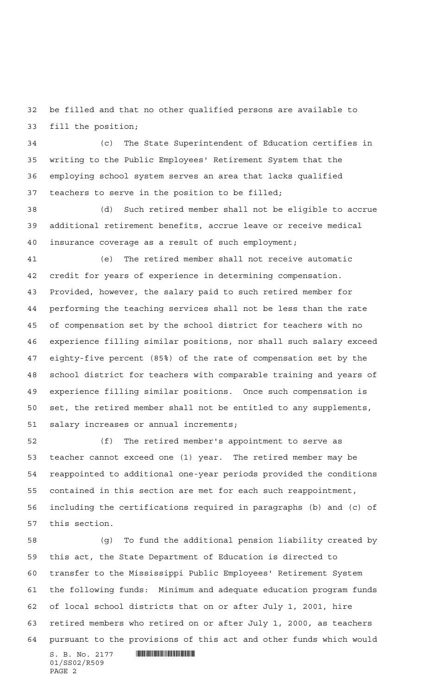be filled and that no other qualified persons are available to fill the position;

 (c) The State Superintendent of Education certifies in writing to the Public Employees' Retirement System that the employing school system serves an area that lacks qualified teachers to serve in the position to be filled;

 (d) Such retired member shall not be eligible to accrue additional retirement benefits, accrue leave or receive medical insurance coverage as a result of such employment;

 (e) The retired member shall not receive automatic credit for years of experience in determining compensation. Provided, however, the salary paid to such retired member for performing the teaching services shall not be less than the rate of compensation set by the school district for teachers with no experience filling similar positions, nor shall such salary exceed eighty-five percent (85%) of the rate of compensation set by the school district for teachers with comparable training and years of experience filling similar positions. Once such compensation is set, the retired member shall not be entitled to any supplements, salary increases or annual increments;

 (f) The retired member's appointment to serve as teacher cannot exceed one (1) year. The retired member may be reappointed to additional one-year periods provided the conditions contained in this section are met for each such reappointment, including the certifications required in paragraphs (b) and (c) of this section.

 $S. B. No. 2177$  . THE SET OF SET OF SET OF SET OF SET OF SET OF SET OF SET OF SET OF SET OF SET OF SET OF SET OF SET OF SET OF SET OF SET OF SET OF SET OF SET OF SET OF SET OF SET OF SET OF SET OF SET OF SET OF SET OF SET O (g) To fund the additional pension liability created by this act, the State Department of Education is directed to transfer to the Mississippi Public Employees' Retirement System the following funds: Minimum and adequate education program funds of local school districts that on or after July 1, 2001, hire retired members who retired on or after July 1, 2000, as teachers pursuant to the provisions of this act and other funds which would

01/SS02/R509 PAGE 2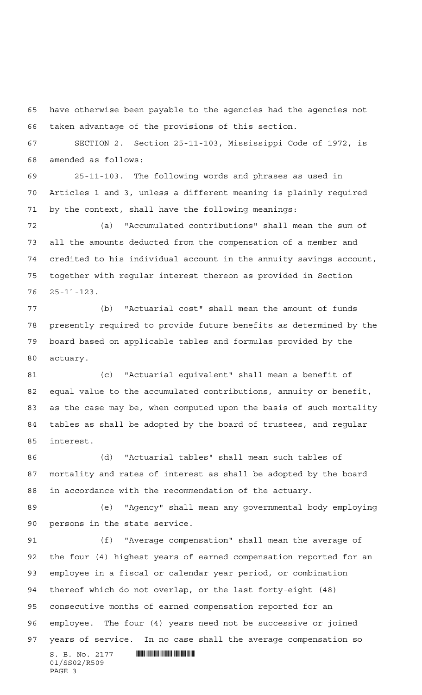have otherwise been payable to the agencies had the agencies not taken advantage of the provisions of this section.

 SECTION 2. Section 25-11-103, Mississippi Code of 1972, is amended as follows:

 25-11-103. The following words and phrases as used in Articles 1 and 3, unless a different meaning is plainly required by the context, shall have the following meanings:

 (a) "Accumulated contributions" shall mean the sum of all the amounts deducted from the compensation of a member and credited to his individual account in the annuity savings account, together with regular interest thereon as provided in Section 25-11-123.

 (b) "Actuarial cost" shall mean the amount of funds presently required to provide future benefits as determined by the board based on applicable tables and formulas provided by the actuary.

 (c) "Actuarial equivalent" shall mean a benefit of equal value to the accumulated contributions, annuity or benefit, as the case may be, when computed upon the basis of such mortality tables as shall be adopted by the board of trustees, and regular interest.

 (d) "Actuarial tables" shall mean such tables of mortality and rates of interest as shall be adopted by the board in accordance with the recommendation of the actuary.

 (e) "Agency" shall mean any governmental body employing persons in the state service.

 (f) "Average compensation" shall mean the average of the four (4) highest years of earned compensation reported for an employee in a fiscal or calendar year period, or combination thereof which do not overlap, or the last forty-eight (48) consecutive months of earned compensation reported for an employee. The four (4) years need not be successive or joined years of service. In no case shall the average compensation so

 $S. B. No. 2177$  . THE SET OF SET OF SET OF SET OF SET OF SET OF SET OF SET OF SET OF SET OF SET OF SET OF SET OF SET OF SET OF SET OF SET OF SET OF SET OF SET OF SET OF SET OF SET OF SET OF SET OF SET OF SET OF SET OF SET O 01/SS02/R509 PAGE 3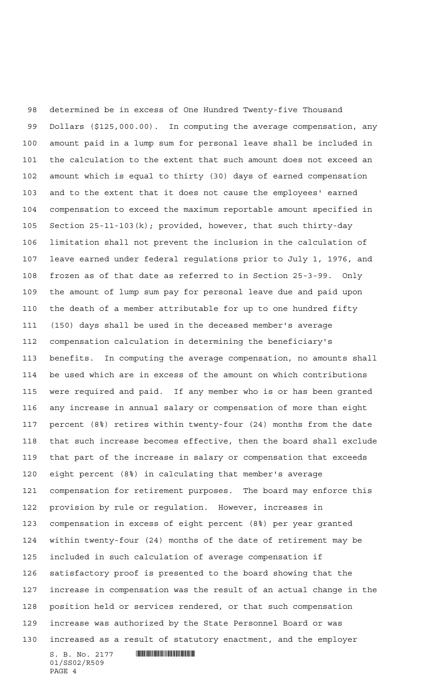$S. B. No. 2177$  . THE SET OF SET OF SET OF SET OF SET OF SET OF SET OF SET OF SET OF SET OF SET OF SET OF SET OF SET OF SET OF SET OF SET OF SET OF SET OF SET OF SET OF SET OF SET OF SET OF SET OF SET OF SET OF SET OF SET O determined be in excess of One Hundred Twenty-five Thousand Dollars (\$125,000.00). In computing the average compensation, any amount paid in a lump sum for personal leave shall be included in the calculation to the extent that such amount does not exceed an amount which is equal to thirty (30) days of earned compensation and to the extent that it does not cause the employees' earned compensation to exceed the maximum reportable amount specified in Section 25-11-103(k); provided, however, that such thirty-day limitation shall not prevent the inclusion in the calculation of leave earned under federal regulations prior to July 1, 1976, and frozen as of that date as referred to in Section 25-3-99. Only the amount of lump sum pay for personal leave due and paid upon the death of a member attributable for up to one hundred fifty (150) days shall be used in the deceased member's average compensation calculation in determining the beneficiary's benefits. In computing the average compensation, no amounts shall be used which are in excess of the amount on which contributions were required and paid. If any member who is or has been granted any increase in annual salary or compensation of more than eight percent (8%) retires within twenty-four (24) months from the date that such increase becomes effective, then the board shall exclude that part of the increase in salary or compensation that exceeds eight percent (8%) in calculating that member's average compensation for retirement purposes. The board may enforce this provision by rule or regulation. However, increases in compensation in excess of eight percent (8%) per year granted within twenty-four (24) months of the date of retirement may be included in such calculation of average compensation if satisfactory proof is presented to the board showing that the increase in compensation was the result of an actual change in the position held or services rendered, or that such compensation increase was authorized by the State Personnel Board or was increased as a result of statutory enactment, and the employer

01/SS02/R509 PAGE 4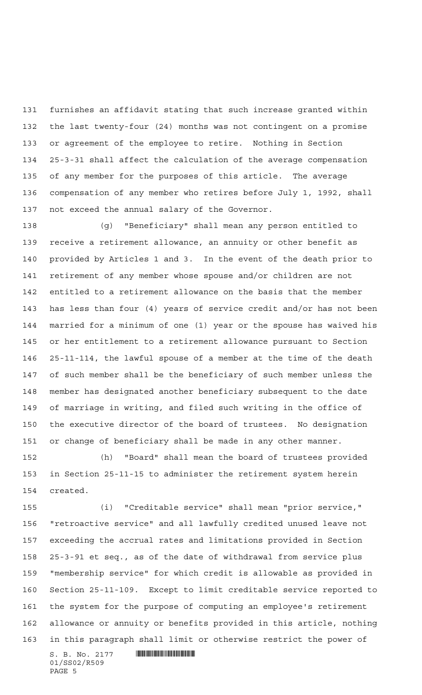furnishes an affidavit stating that such increase granted within the last twenty-four (24) months was not contingent on a promise or agreement of the employee to retire. Nothing in Section 25-3-31 shall affect the calculation of the average compensation of any member for the purposes of this article. The average compensation of any member who retires before July 1, 1992, shall not exceed the annual salary of the Governor.

 (g) "Beneficiary" shall mean any person entitled to receive a retirement allowance, an annuity or other benefit as provided by Articles 1 and 3. In the event of the death prior to retirement of any member whose spouse and/or children are not entitled to a retirement allowance on the basis that the member has less than four (4) years of service credit and/or has not been married for a minimum of one (1) year or the spouse has waived his or her entitlement to a retirement allowance pursuant to Section 25-11-114, the lawful spouse of a member at the time of the death of such member shall be the beneficiary of such member unless the member has designated another beneficiary subsequent to the date of marriage in writing, and filed such writing in the office of the executive director of the board of trustees. No designation or change of beneficiary shall be made in any other manner.

 (h) "Board" shall mean the board of trustees provided in Section 25-11-15 to administer the retirement system herein created.

 (i) "Creditable service" shall mean "prior service," "retroactive service" and all lawfully credited unused leave not exceeding the accrual rates and limitations provided in Section 25-3-91 et seq., as of the date of withdrawal from service plus "membership service" for which credit is allowable as provided in Section 25-11-109. Except to limit creditable service reported to the system for the purpose of computing an employee's retirement allowance or annuity or benefits provided in this article, nothing in this paragraph shall limit or otherwise restrict the power of

 $S. B. No. 2177$  . We see the set of  $S. B. No. 2177$ 01/SS02/R509 PAGE 5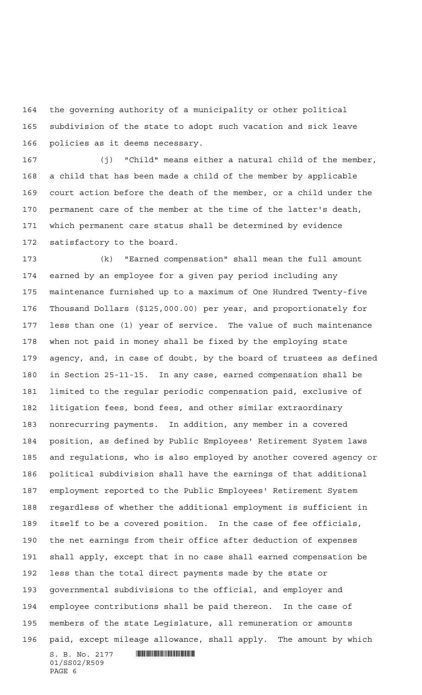the governing authority of a municipality or other political subdivision of the state to adopt such vacation and sick leave policies as it deems necessary.

 (j) "Child" means either a natural child of the member, a child that has been made a child of the member by applicable court action before the death of the member, or a child under the permanent care of the member at the time of the latter's death, which permanent care status shall be determined by evidence satisfactory to the board.

 $S. B. No. 2177$  . THE SET OF SET OF SET OF SET OF SET OF SET OF SET OF SET OF SET OF SET OF SET OF SET OF SET OF SET OF SET OF SET OF SET OF SET OF SET OF SET OF SET OF SET OF SET OF SET OF SET OF SET OF SET OF SET OF SET O (k) "Earned compensation" shall mean the full amount earned by an employee for a given pay period including any maintenance furnished up to a maximum of One Hundred Twenty-five Thousand Dollars (\$125,000.00) per year, and proportionately for less than one (1) year of service. The value of such maintenance when not paid in money shall be fixed by the employing state agency, and, in case of doubt, by the board of trustees as defined in Section 25-11-15. In any case, earned compensation shall be limited to the regular periodic compensation paid, exclusive of litigation fees, bond fees, and other similar extraordinary nonrecurring payments. In addition, any member in a covered position, as defined by Public Employees' Retirement System laws and regulations, who is also employed by another covered agency or political subdivision shall have the earnings of that additional employment reported to the Public Employees' Retirement System regardless of whether the additional employment is sufficient in itself to be a covered position. In the case of fee officials, the net earnings from their office after deduction of expenses shall apply, except that in no case shall earned compensation be less than the total direct payments made by the state or governmental subdivisions to the official, and employer and employee contributions shall be paid thereon. In the case of members of the state Legislature, all remuneration or amounts paid, except mileage allowance, shall apply. The amount by which

01/SS02/R509 PAGE 6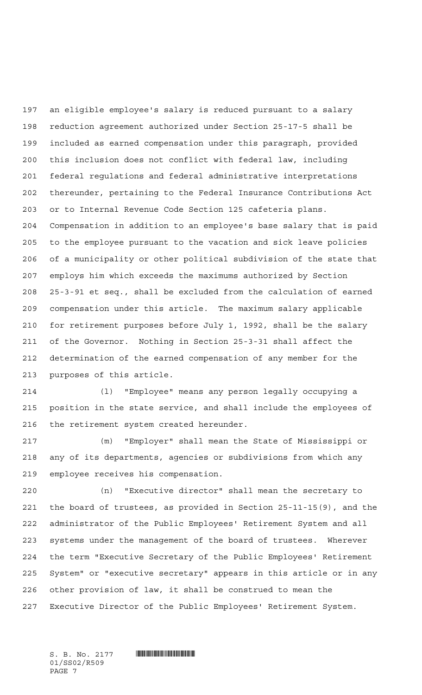an eligible employee's salary is reduced pursuant to a salary reduction agreement authorized under Section 25-17-5 shall be included as earned compensation under this paragraph, provided this inclusion does not conflict with federal law, including federal regulations and federal administrative interpretations thereunder, pertaining to the Federal Insurance Contributions Act or to Internal Revenue Code Section 125 cafeteria plans. Compensation in addition to an employee's base salary that is paid to the employee pursuant to the vacation and sick leave policies of a municipality or other political subdivision of the state that employs him which exceeds the maximums authorized by Section 25-3-91 et seq., shall be excluded from the calculation of earned compensation under this article. The maximum salary applicable for retirement purposes before July 1, 1992, shall be the salary of the Governor. Nothing in Section 25-3-31 shall affect the determination of the earned compensation of any member for the purposes of this article.

 (l) "Employee" means any person legally occupying a position in the state service, and shall include the employees of the retirement system created hereunder.

 (m) "Employer" shall mean the State of Mississippi or any of its departments, agencies or subdivisions from which any employee receives his compensation.

 (n) "Executive director" shall mean the secretary to the board of trustees, as provided in Section 25-11-15(9), and the administrator of the Public Employees' Retirement System and all systems under the management of the board of trustees. Wherever the term "Executive Secretary of the Public Employees' Retirement System" or "executive secretary" appears in this article or in any other provision of law, it shall be construed to mean the Executive Director of the Public Employees' Retirement System.

01/SS02/R509 PAGE 7

 $S. B. No. 2177$  **WHERE AND ALL AND ADDRESS**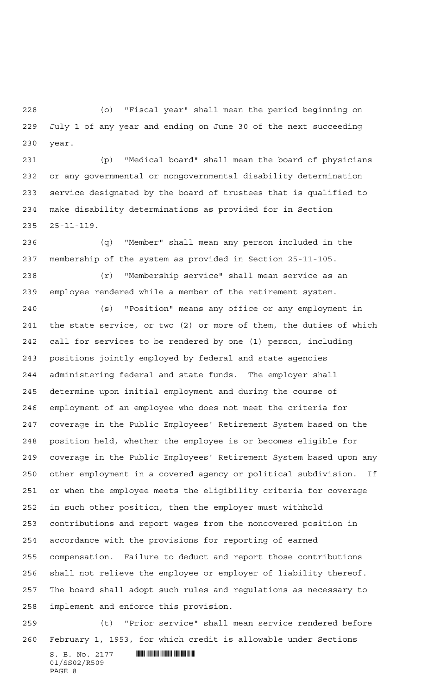(o) "Fiscal year" shall mean the period beginning on July 1 of any year and ending on June 30 of the next succeeding year.

 (p) "Medical board" shall mean the board of physicians or any governmental or nongovernmental disability determination service designated by the board of trustees that is qualified to make disability determinations as provided for in Section 25-11-119.

 (q) "Member" shall mean any person included in the membership of the system as provided in Section 25-11-105.

 (r) "Membership service" shall mean service as an employee rendered while a member of the retirement system.

 (s) "Position" means any office or any employment in the state service, or two (2) or more of them, the duties of which call for services to be rendered by one (1) person, including positions jointly employed by federal and state agencies administering federal and state funds. The employer shall determine upon initial employment and during the course of employment of an employee who does not meet the criteria for coverage in the Public Employees' Retirement System based on the position held, whether the employee is or becomes eligible for coverage in the Public Employees' Retirement System based upon any other employment in a covered agency or political subdivision. If or when the employee meets the eligibility criteria for coverage in such other position, then the employer must withhold contributions and report wages from the noncovered position in accordance with the provisions for reporting of earned compensation. Failure to deduct and report those contributions shall not relieve the employee or employer of liability thereof. The board shall adopt such rules and regulations as necessary to implement and enforce this provision.

 (t) "Prior service" shall mean service rendered before February 1, 1953, for which credit is allowable under Sections

S. B. No. 2177 **. SECONDER SECONDER SECONDER SECONDER SERVICE** 01/SS02/R509 PAGE 8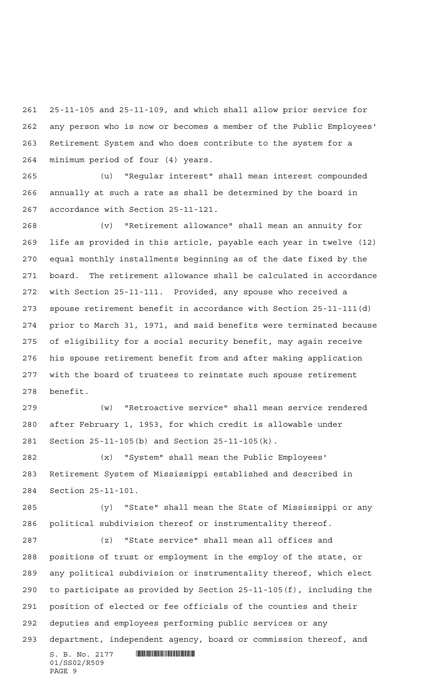25-11-105 and 25-11-109, and which shall allow prior service for any person who is now or becomes a member of the Public Employees' Retirement System and who does contribute to the system for a minimum period of four (4) years.

 (u) "Regular interest" shall mean interest compounded annually at such a rate as shall be determined by the board in accordance with Section 25-11-121.

 (v) "Retirement allowance" shall mean an annuity for life as provided in this article, payable each year in twelve (12) equal monthly installments beginning as of the date fixed by the board. The retirement allowance shall be calculated in accordance with Section 25-11-111. Provided, any spouse who received a spouse retirement benefit in accordance with Section 25-11-111(d) prior to March 31, 1971, and said benefits were terminated because of eligibility for a social security benefit, may again receive his spouse retirement benefit from and after making application with the board of trustees to reinstate such spouse retirement benefit.

 (w) "Retroactive service" shall mean service rendered after February 1, 1953, for which credit is allowable under Section 25-11-105(b) and Section 25-11-105(k).

 (x) "System" shall mean the Public Employees' Retirement System of Mississippi established and described in Section 25-11-101.

 (y) "State" shall mean the State of Mississippi or any political subdivision thereof or instrumentality thereof.

 (z) "State service" shall mean all offices and positions of trust or employment in the employ of the state, or any political subdivision or instrumentality thereof, which elect to participate as provided by Section 25-11-105(f), including the position of elected or fee officials of the counties and their deputies and employees performing public services or any department, independent agency, board or commission thereof, and

 $S. B. No. 2177$  . We see the set of  $S. B. No. 2177$ 01/SS02/R509 PAGE 9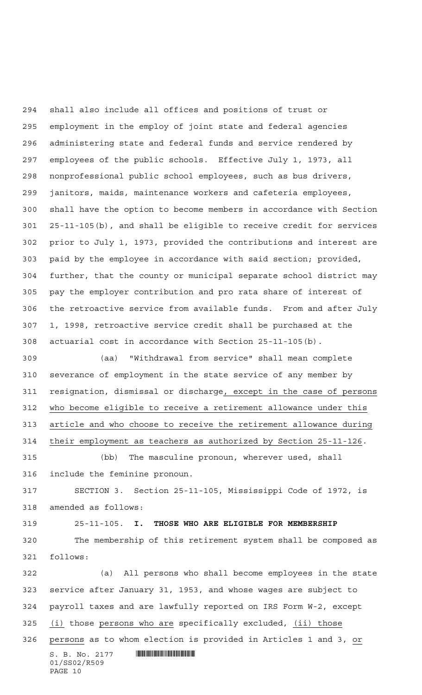shall also include all offices and positions of trust or employment in the employ of joint state and federal agencies administering state and federal funds and service rendered by employees of the public schools. Effective July 1, 1973, all nonprofessional public school employees, such as bus drivers, janitors, maids, maintenance workers and cafeteria employees, shall have the option to become members in accordance with Section 25-11-105(b), and shall be eligible to receive credit for services prior to July 1, 1973, provided the contributions and interest are paid by the employee in accordance with said section; provided, further, that the county or municipal separate school district may pay the employer contribution and pro rata share of interest of the retroactive service from available funds. From and after July 1, 1998, retroactive service credit shall be purchased at the actuarial cost in accordance with Section 25-11-105(b).

 (aa) "Withdrawal from service" shall mean complete severance of employment in the state service of any member by resignation, dismissal or discharge, except in the case of persons who become eligible to receive a retirement allowance under this article and who choose to receive the retirement allowance during their employment as teachers as authorized by Section 25-11-126.

 (bb) The masculine pronoun, wherever used, shall include the feminine pronoun.

 SECTION 3. Section 25-11-105, Mississippi Code of 1972, is amended as follows:

25-11-105. **I. THOSE WHO ARE ELIGIBLE FOR MEMBERSHIP**

 The membership of this retirement system shall be composed as follows:

 $S. B. No. 2177$  **INSEPTERTING A**  (a) All persons who shall become employees in the state service after January 31, 1953, and whose wages are subject to payroll taxes and are lawfully reported on IRS Form W-2, except 325 (i) those persons who are specifically excluded, (ii) those persons as to whom election is provided in Articles 1 and 3, or

```
01/SS02/R509
PAGE 10
```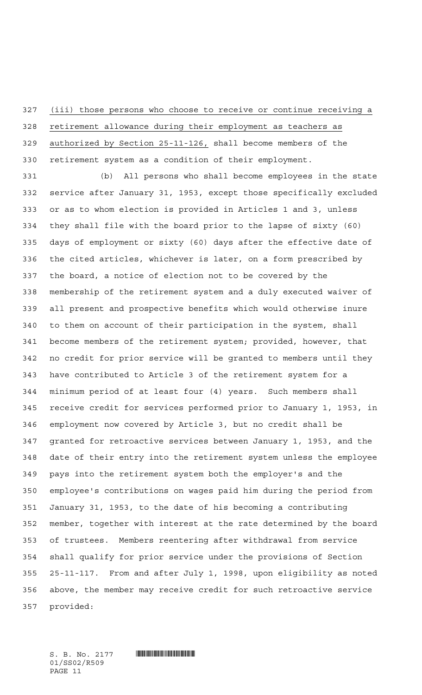(iii) those persons who choose to receive or continue receiving a

 retirement allowance during their employment as teachers as authorized by Section 25-11-126, shall become members of the retirement system as a condition of their employment.

 (b) All persons who shall become employees in the state service after January 31, 1953, except those specifically excluded or as to whom election is provided in Articles 1 and 3, unless they shall file with the board prior to the lapse of sixty (60) days of employment or sixty (60) days after the effective date of the cited articles, whichever is later, on a form prescribed by the board, a notice of election not to be covered by the membership of the retirement system and a duly executed waiver of all present and prospective benefits which would otherwise inure to them on account of their participation in the system, shall become members of the retirement system; provided, however, that no credit for prior service will be granted to members until they have contributed to Article 3 of the retirement system for a minimum period of at least four (4) years. Such members shall receive credit for services performed prior to January 1, 1953, in employment now covered by Article 3, but no credit shall be granted for retroactive services between January 1, 1953, and the date of their entry into the retirement system unless the employee pays into the retirement system both the employer's and the employee's contributions on wages paid him during the period from January 31, 1953, to the date of his becoming a contributing member, together with interest at the rate determined by the board of trustees. Members reentering after withdrawal from service shall qualify for prior service under the provisions of Section 25-11-117. From and after July 1, 1998, upon eligibility as noted above, the member may receive credit for such retroactive service provided:

01/SS02/R509 PAGE 11

 $S. B. No. 2177$  **WHERE AND ALL AND ADDRESS**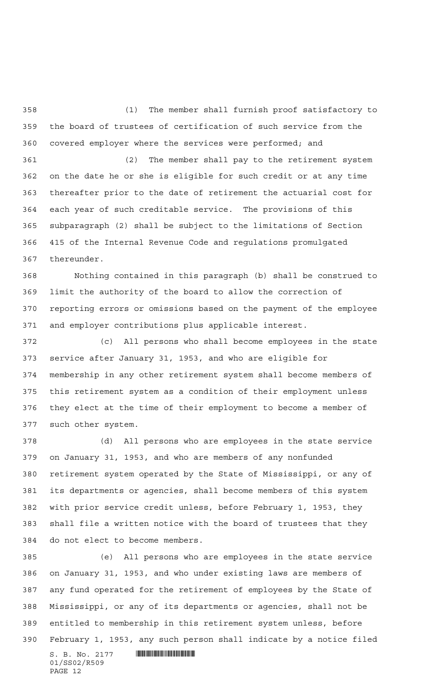(1) The member shall furnish proof satisfactory to the board of trustees of certification of such service from the covered employer where the services were performed; and

 (2) The member shall pay to the retirement system on the date he or she is eligible for such credit or at any time thereafter prior to the date of retirement the actuarial cost for each year of such creditable service. The provisions of this subparagraph (2) shall be subject to the limitations of Section 415 of the Internal Revenue Code and regulations promulgated thereunder.

 Nothing contained in this paragraph (b) shall be construed to limit the authority of the board to allow the correction of reporting errors or omissions based on the payment of the employee and employer contributions plus applicable interest.

 (c) All persons who shall become employees in the state service after January 31, 1953, and who are eligible for membership in any other retirement system shall become members of this retirement system as a condition of their employment unless they elect at the time of their employment to become a member of such other system.

 (d) All persons who are employees in the state service on January 31, 1953, and who are members of any nonfunded retirement system operated by the State of Mississippi, or any of its departments or agencies, shall become members of this system with prior service credit unless, before February 1, 1953, they shall file a written notice with the board of trustees that they do not elect to become members.

 (e) All persons who are employees in the state service on January 31, 1953, and who under existing laws are members of any fund operated for the retirement of employees by the State of Mississippi, or any of its departments or agencies, shall not be entitled to membership in this retirement system unless, before February 1, 1953, any such person shall indicate by a notice filed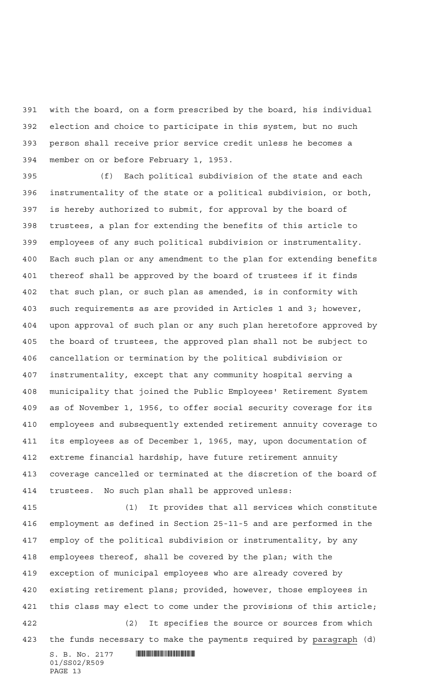with the board, on a form prescribed by the board, his individual election and choice to participate in this system, but no such person shall receive prior service credit unless he becomes a member on or before February 1, 1953.

 (f) Each political subdivision of the state and each instrumentality of the state or a political subdivision, or both, is hereby authorized to submit, for approval by the board of trustees, a plan for extending the benefits of this article to employees of any such political subdivision or instrumentality. Each such plan or any amendment to the plan for extending benefits thereof shall be approved by the board of trustees if it finds that such plan, or such plan as amended, is in conformity with such requirements as are provided in Articles 1 and 3; however, upon approval of such plan or any such plan heretofore approved by the board of trustees, the approved plan shall not be subject to cancellation or termination by the political subdivision or instrumentality, except that any community hospital serving a municipality that joined the Public Employees' Retirement System as of November 1, 1956, to offer social security coverage for its employees and subsequently extended retirement annuity coverage to its employees as of December 1, 1965, may, upon documentation of extreme financial hardship, have future retirement annuity coverage cancelled or terminated at the discretion of the board of trustees. No such plan shall be approved unless:

 (1) It provides that all services which constitute employment as defined in Section 25-11-5 and are performed in the employ of the political subdivision or instrumentality, by any employees thereof, shall be covered by the plan; with the exception of municipal employees who are already covered by existing retirement plans; provided, however, those employees in this class may elect to come under the provisions of this article; (2) It specifies the source or sources from which

the funds necessary to make the payments required by paragraph (d)

 $S. B. No. 2177$  . THE SET OF SET OF SET OF SET OF SET OF SET OF SET OF SET OF SET OF SET OF SET OF SET OF SET OF SET OF SET OF SET OF SET OF SET OF SET OF SET OF SET OF SET OF SET OF SET OF SET OF SET OF SET OF SET OF SET O 01/SS02/R509 PAGE 13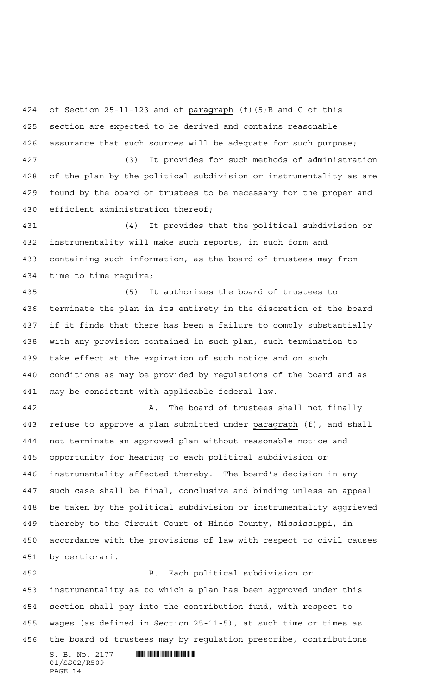of Section 25-11-123 and of paragraph (f)(5)B and C of this section are expected to be derived and contains reasonable assurance that such sources will be adequate for such purpose;

 (3) It provides for such methods of administration of the plan by the political subdivision or instrumentality as are found by the board of trustees to be necessary for the proper and efficient administration thereof;

 (4) It provides that the political subdivision or instrumentality will make such reports, in such form and containing such information, as the board of trustees may from time to time require;

 (5) It authorizes the board of trustees to terminate the plan in its entirety in the discretion of the board if it finds that there has been a failure to comply substantially with any provision contained in such plan, such termination to take effect at the expiration of such notice and on such conditions as may be provided by regulations of the board and as may be consistent with applicable federal law.

 A. The board of trustees shall not finally 443 refuse to approve a plan submitted under paragraph (f), and shall not terminate an approved plan without reasonable notice and opportunity for hearing to each political subdivision or instrumentality affected thereby. The board's decision in any such case shall be final, conclusive and binding unless an appeal be taken by the political subdivision or instrumentality aggrieved thereby to the Circuit Court of Hinds County, Mississippi, in accordance with the provisions of law with respect to civil causes by certiorari.

 B. Each political subdivision or instrumentality as to which a plan has been approved under this section shall pay into the contribution fund, with respect to wages (as defined in Section 25-11-5), at such time or times as the board of trustees may by regulation prescribe, contributions

 $\textbf{S. B. No. } 2177 \quad \textbf{||||} \textbf{||||} \textbf{||} \textbf{||} \textbf{||} \textbf{||} \textbf{||} \textbf{||} \textbf{||} \textbf{||} \textbf{||} \textbf{||} \textbf{||} \textbf{||} \textbf{||} \textbf{||} \textbf{||} \textbf{||} \textbf{||} \textbf{||} \textbf{||} \textbf{||} \textbf{||} \textbf{||} \textbf{||} \textbf{||} \textbf{||} \textbf{||} \textbf{||} \textbf{||} \textbf{||} \textbf{||} \textbf{||} \text$ 01/SS02/R509 PAGE 14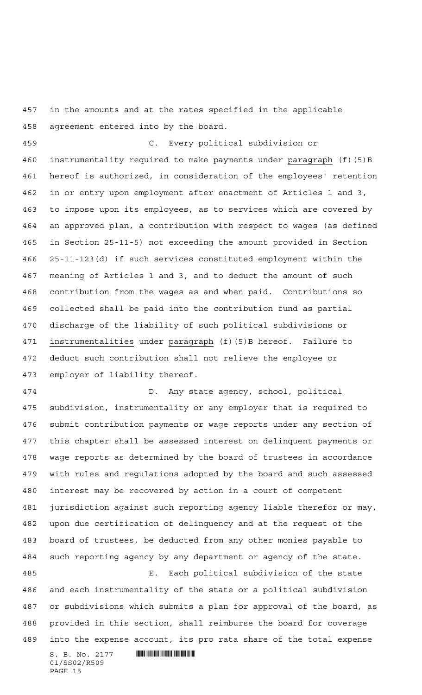in the amounts and at the rates specified in the applicable agreement entered into by the board.

 C. Every political subdivision or instrumentality required to make payments under paragraph (f)(5)B hereof is authorized, in consideration of the employees' retention in or entry upon employment after enactment of Articles 1 and 3, to impose upon its employees, as to services which are covered by an approved plan, a contribution with respect to wages (as defined in Section 25-11-5) not exceeding the amount provided in Section 25-11-123(d) if such services constituted employment within the meaning of Articles 1 and 3, and to deduct the amount of such contribution from the wages as and when paid. Contributions so collected shall be paid into the contribution fund as partial discharge of the liability of such political subdivisions or 471 instrumentalities under paragraph (f)(5)B hereof. Failure to deduct such contribution shall not relieve the employee or employer of liability thereof.

 D. Any state agency, school, political subdivision, instrumentality or any employer that is required to submit contribution payments or wage reports under any section of this chapter shall be assessed interest on delinquent payments or wage reports as determined by the board of trustees in accordance with rules and regulations adopted by the board and such assessed interest may be recovered by action in a court of competent jurisdiction against such reporting agency liable therefor or may, upon due certification of delinquency and at the request of the board of trustees, be deducted from any other monies payable to such reporting agency by any department or agency of the state. E. Each political subdivision of the state and each instrumentality of the state or a political subdivision

 or subdivisions which submits a plan for approval of the board, as provided in this section, shall reimburse the board for coverage into the expense account, its pro rata share of the total expense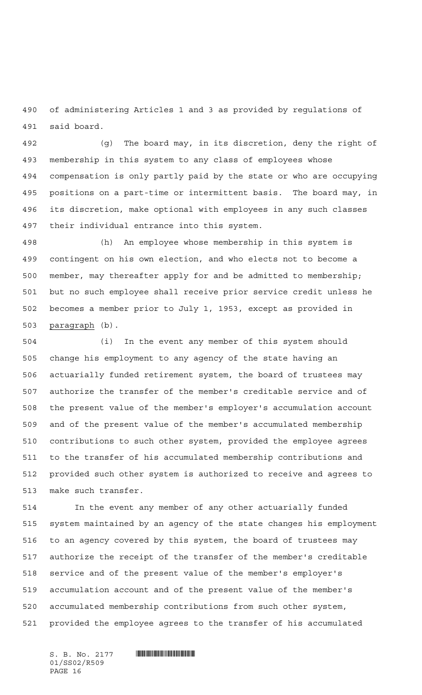of administering Articles 1 and 3 as provided by regulations of said board.

 (g) The board may, in its discretion, deny the right of membership in this system to any class of employees whose compensation is only partly paid by the state or who are occupying positions on a part-time or intermittent basis. The board may, in its discretion, make optional with employees in any such classes their individual entrance into this system.

 (h) An employee whose membership in this system is contingent on his own election, and who elects not to become a member, may thereafter apply for and be admitted to membership; but no such employee shall receive prior service credit unless he becomes a member prior to July 1, 1953, except as provided in paragraph (b).

 (i) In the event any member of this system should change his employment to any agency of the state having an actuarially funded retirement system, the board of trustees may authorize the transfer of the member's creditable service and of the present value of the member's employer's accumulation account and of the present value of the member's accumulated membership contributions to such other system, provided the employee agrees to the transfer of his accumulated membership contributions and provided such other system is authorized to receive and agrees to make such transfer.

 In the event any member of any other actuarially funded system maintained by an agency of the state changes his employment to an agency covered by this system, the board of trustees may authorize the receipt of the transfer of the member's creditable service and of the present value of the member's employer's accumulation account and of the present value of the member's accumulated membership contributions from such other system, provided the employee agrees to the transfer of his accumulated

01/SS02/R509 PAGE 16

 $S. B. No. 2177$  . THE SET OF SET OF SET OF SET OF SET OF SET OF SET OF SET OF SET OF SET OF SET OF SET OF SET OF SET OF SET OF SET OF SET OF SET OF SET OF SET OF SET OF SET OF SET OF SET OF SET OF SET OF SET OF SET OF SET O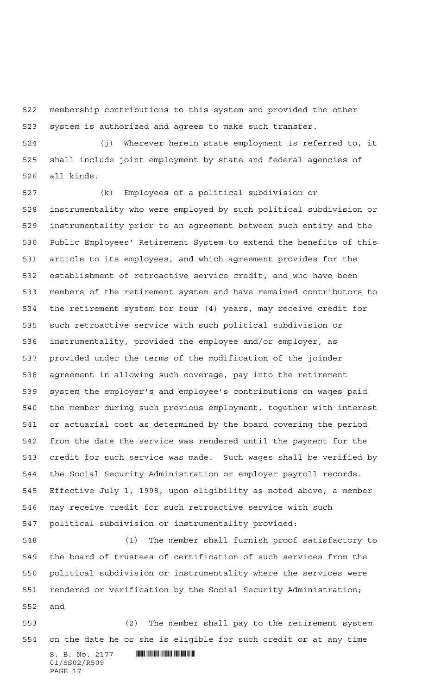membership contributions to this system and provided the other system is authorized and agrees to make such transfer.

 (j) Wherever herein state employment is referred to, it shall include joint employment by state and federal agencies of all kinds.

 (k) Employees of a political subdivision or instrumentality who were employed by such political subdivision or instrumentality prior to an agreement between such entity and the Public Employees' Retirement System to extend the benefits of this article to its employees, and which agreement provides for the establishment of retroactive service credit, and who have been members of the retirement system and have remained contributors to the retirement system for four (4) years, may receive credit for such retroactive service with such political subdivision or instrumentality, provided the employee and/or employer, as provided under the terms of the modification of the joinder agreement in allowing such coverage, pay into the retirement system the employer's and employee's contributions on wages paid the member during such previous employment, together with interest or actuarial cost as determined by the board covering the period from the date the service was rendered until the payment for the credit for such service was made. Such wages shall be verified by the Social Security Administration or employer payroll records. Effective July 1, 1998, upon eligibility as noted above, a member may receive credit for such retroactive service with such political subdivision or instrumentality provided:

 (1) The member shall furnish proof satisfactory to the board of trustees of certification of such services from the political subdivision or instrumentality where the services were rendered or verification by the Social Security Administration; and

 (2) The member shall pay to the retirement system on the date he or she is eligible for such credit or at any time

 $S. B. No. 2177$  . We see the set of  $S. B. No. 2177$ 01/SS02/R509 PAGE 17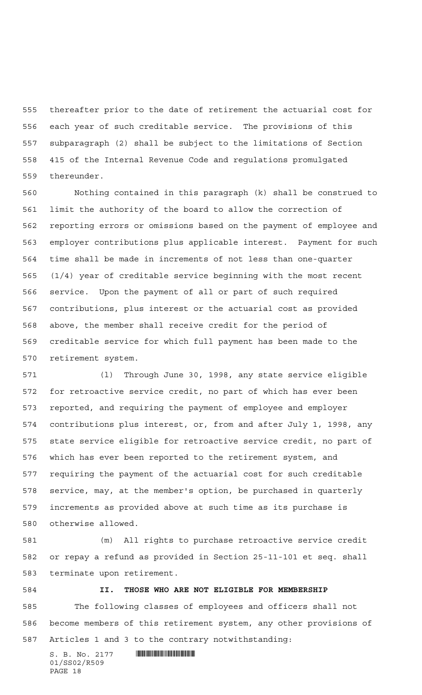thereafter prior to the date of retirement the actuarial cost for each year of such creditable service. The provisions of this subparagraph (2) shall be subject to the limitations of Section 415 of the Internal Revenue Code and regulations promulgated thereunder.

 Nothing contained in this paragraph (k) shall be construed to limit the authority of the board to allow the correction of reporting errors or omissions based on the payment of employee and employer contributions plus applicable interest. Payment for such time shall be made in increments of not less than one-quarter (1/4) year of creditable service beginning with the most recent service. Upon the payment of all or part of such required contributions, plus interest or the actuarial cost as provided above, the member shall receive credit for the period of creditable service for which full payment has been made to the retirement system.

 (l) Through June 30, 1998, any state service eligible for retroactive service credit, no part of which has ever been reported, and requiring the payment of employee and employer contributions plus interest, or, from and after July 1, 1998, any state service eligible for retroactive service credit, no part of which has ever been reported to the retirement system, and requiring the payment of the actuarial cost for such creditable service, may, at the member's option, be purchased in quarterly increments as provided above at such time as its purchase is otherwise allowed.

 (m) All rights to purchase retroactive service credit or repay a refund as provided in Section 25-11-101 et seq. shall terminate upon retirement.

 **II. THOSE WHO ARE NOT ELIGIBLE FOR MEMBERSHIP** The following classes of employees and officers shall not become members of this retirement system, any other provisions of Articles 1 and 3 to the contrary notwithstanding:

S. B. No. 2177 \*SS02/R509\* 01/SS02/R509 PAGE 18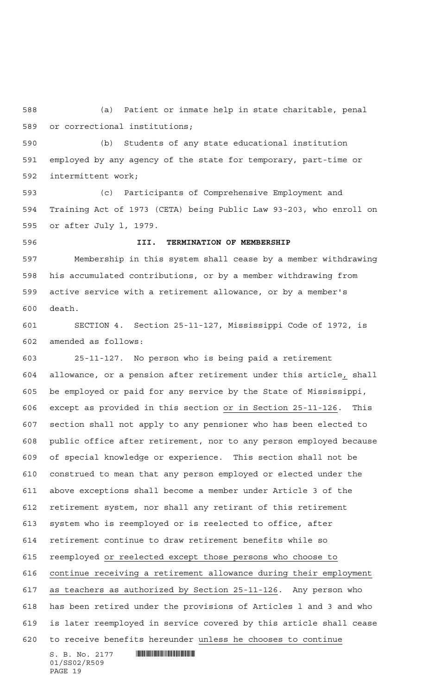(a) Patient or inmate help in state charitable, penal or correctional institutions;

 (b) Students of any state educational institution employed by any agency of the state for temporary, part-time or intermittent work;

 (c) Participants of Comprehensive Employment and Training Act of 1973 (CETA) being Public Law 93-203, who enroll on or after July l, 1979.

 **III. TERMINATION OF MEMBERSHIP** Membership in this system shall cease by a member withdrawing his accumulated contributions, or by a member withdrawing from active service with a retirement allowance, or by a member's death.

 SECTION 4. Section 25-11-127, Mississippi Code of 1972, is amended as follows:

 $S. B. No. 2177$  . We see the set of  $S. B. No. 2177$  25-11-127. No person who is being paid a retirement allowance, or a pension after retirement under this article, shall be employed or paid for any service by the State of Mississippi, except as provided in this section or in Section 25-11-126. This section shall not apply to any pensioner who has been elected to public office after retirement, nor to any person employed because of special knowledge or experience. This section shall not be construed to mean that any person employed or elected under the above exceptions shall become a member under Article 3 of the retirement system, nor shall any retirant of this retirement system who is reemployed or is reelected to office, after retirement continue to draw retirement benefits while so reemployed or reelected except those persons who choose to continue receiving a retirement allowance during their employment as teachers as authorized by Section 25-11-126. Any person who has been retired under the provisions of Articles l and 3 and who is later reemployed in service covered by this article shall cease to receive benefits hereunder unless he chooses to continue

01/SS02/R509 PAGE 19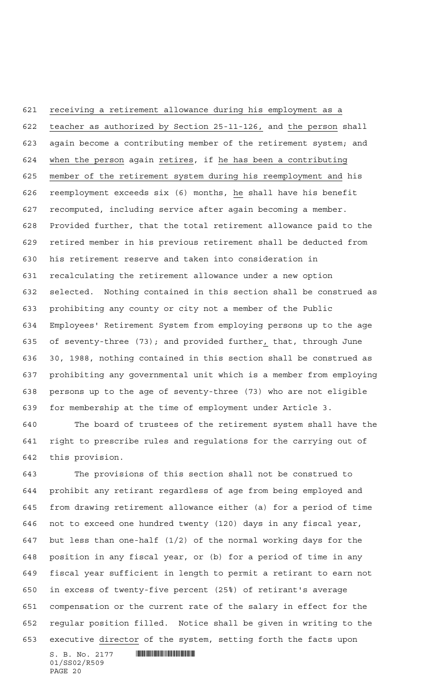receiving a retirement allowance during his employment as a teacher as authorized by Section 25-11-126, and the person shall again become a contributing member of the retirement system; and 624 when the person again retires, if he has been a contributing member of the retirement system during his reemployment and his reemployment exceeds six (6) months, he shall have his benefit recomputed, including service after again becoming a member. Provided further, that the total retirement allowance paid to the retired member in his previous retirement shall be deducted from his retirement reserve and taken into consideration in recalculating the retirement allowance under a new option selected. Nothing contained in this section shall be construed as prohibiting any county or city not a member of the Public Employees' Retirement System from employing persons up to the age of seventy-three (73); and provided further, that, through June 30, 1988, nothing contained in this section shall be construed as prohibiting any governmental unit which is a member from employing persons up to the age of seventy-three (73) who are not eligible for membership at the time of employment under Article 3.

 The board of trustees of the retirement system shall have the right to prescribe rules and regulations for the carrying out of this provision.

 The provisions of this section shall not be construed to prohibit any retirant regardless of age from being employed and from drawing retirement allowance either (a) for a period of time not to exceed one hundred twenty (120) days in any fiscal year, but less than one-half (1/2) of the normal working days for the position in any fiscal year, or (b) for a period of time in any fiscal year sufficient in length to permit a retirant to earn not in excess of twenty-five percent (25%) of retirant's average compensation or the current rate of the salary in effect for the regular position filled. Notice shall be given in writing to the executive director of the system, setting forth the facts upon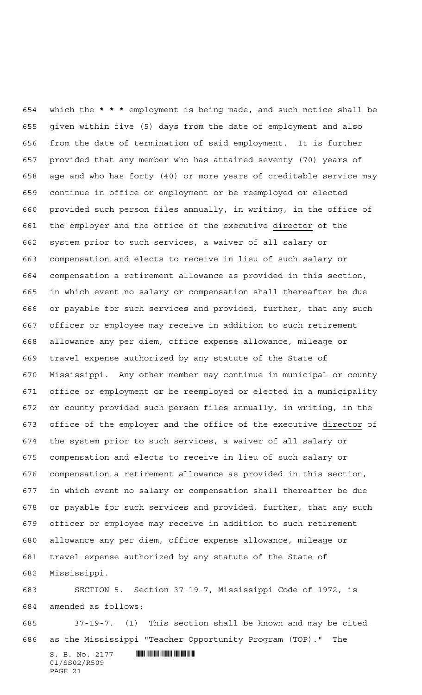which the **\*\*\*** employment is being made, and such notice shall be given within five (5) days from the date of employment and also from the date of termination of said employment. It is further provided that any member who has attained seventy (70) years of age and who has forty (40) or more years of creditable service may continue in office or employment or be reemployed or elected provided such person files annually, in writing, in the office of 661 the employer and the office of the executive director of the system prior to such services, a waiver of all salary or compensation and elects to receive in lieu of such salary or compensation a retirement allowance as provided in this section, in which event no salary or compensation shall thereafter be due or payable for such services and provided, further, that any such officer or employee may receive in addition to such retirement allowance any per diem, office expense allowance, mileage or travel expense authorized by any statute of the State of Mississippi. Any other member may continue in municipal or county office or employment or be reemployed or elected in a municipality or county provided such person files annually, in writing, in the office of the employer and the office of the executive director of the system prior to such services, a waiver of all salary or compensation and elects to receive in lieu of such salary or compensation a retirement allowance as provided in this section, in which event no salary or compensation shall thereafter be due or payable for such services and provided, further, that any such officer or employee may receive in addition to such retirement allowance any per diem, office expense allowance, mileage or travel expense authorized by any statute of the State of Mississippi.

 SECTION 5. Section 37-19-7, Mississippi Code of 1972, is amended as follows:

 37-19-7. (1) This section shall be known and may be cited as the Mississippi "Teacher Opportunity Program (TOP)." The

 $S. B. No. 2177$  . We see the set of  $S. B. No. 2177$ 01/SS02/R509 PAGE 21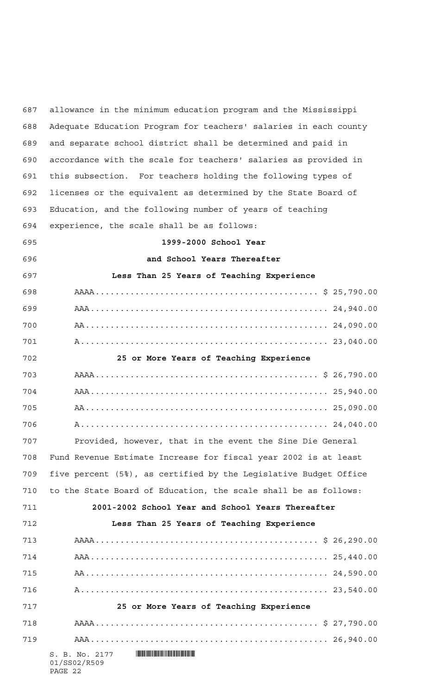$S. B. No. 2177$  . We see the set of  $S. B. N_O. 2177$ 01/SS02/R509 PAGE 22 allowance in the minimum education program and the Mississippi Adequate Education Program for teachers' salaries in each county and separate school district shall be determined and paid in accordance with the scale for teachers' salaries as provided in this subsection. For teachers holding the following types of licenses or the equivalent as determined by the State Board of Education, and the following number of years of teaching experience, the scale shall be as follows: **1999-2000 School Year and School Years Thereafter Less Than 25 Years of Teaching Experience** AAAA............................................. \$ 25,790.00 AAA................................................ 24,940.00 AA................................................. 24,090.00 A.................................................. 23,040.00 **25 or More Years of Teaching Experience** AAAA............................................. \$ 26,790.00 AAA................................................ 25,940.00 AA................................................. 25,090.00 A.................................................. 24,040.00 Provided, however, that in the event the Sine Die General Fund Revenue Estimate Increase for fiscal year 2002 is at least five percent (5%), as certified by the Legislative Budget Office to the State Board of Education, the scale shall be as follows: **2001-2002 School Year and School Years Thereafter Less Than 25 Years of Teaching Experience** AAAA............................................. \$ 26,290.00 AAA................................................ 25,440.00 AA................................................. 24,590.00 A.................................................. 23,540.00 **25 or More Years of Teaching Experience** AAAA............................................. \$ 27,790.00 AAA................................................ 26,940.00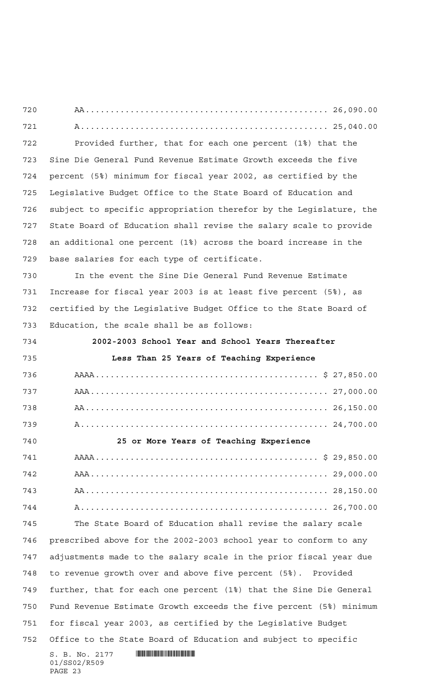$\textbf{S. B. No. } 2177 \quad \textbf{||||} \textbf{||||} \textbf{||} \textbf{||} \textbf{||} \textbf{||} \textbf{||} \textbf{||} \textbf{||} \textbf{||} \textbf{||} \textbf{||} \textbf{||} \textbf{||} \textbf{||} \textbf{||} \textbf{||} \textbf{||} \textbf{||} \textbf{||} \textbf{||} \textbf{||} \textbf{||} \textbf{||} \textbf{||} \textbf{||} \textbf{||} \textbf{||} \textbf{||} \textbf{||} \textbf{||} \textbf{||} \textbf{||} \text$ 01/SS02/R509 AA................................................. 26,090.00 A.................................................. 25,040.00 Provided further, that for each one percent (1%) that the Sine Die General Fund Revenue Estimate Growth exceeds the five percent (5%) minimum for fiscal year 2002, as certified by the Legislative Budget Office to the State Board of Education and subject to specific appropriation therefor by the Legislature, the State Board of Education shall revise the salary scale to provide an additional one percent (1%) across the board increase in the base salaries for each type of certificate. In the event the Sine Die General Fund Revenue Estimate Increase for fiscal year 2003 is at least five percent (5%), as certified by the Legislative Budget Office to the State Board of Education, the scale shall be as follows: **2002-2003 School Year and School Years Thereafter Less Than 25 Years of Teaching Experience** AAAA............................................. \$ 27,850.00 AAA................................................ 27,000.00 AA................................................. 26,150.00 A.................................................. 24,700.00 **25 or More Years of Teaching Experience** AAAA............................................. \$ 29,850.00 AAA................................................ 29,000.00 AA................................................. 28,150.00 A.................................................. 26,700.00 The State Board of Education shall revise the salary scale prescribed above for the 2002-2003 school year to conform to any adjustments made to the salary scale in the prior fiscal year due to revenue growth over and above five percent (5%). Provided further, that for each one percent (1%) that the Sine Die General Fund Revenue Estimate Growth exceeds the five percent (5%) minimum for fiscal year 2003, as certified by the Legislative Budget Office to the State Board of Education and subject to specific

PAGE 23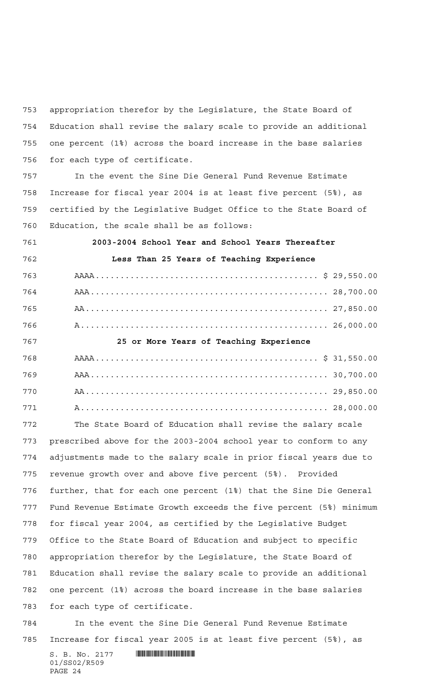appropriation therefor by the Legislature, the State Board of Education shall revise the salary scale to provide an additional one percent (1%) across the board increase in the base salaries for each type of certificate.

 In the event the Sine Die General Fund Revenue Estimate Increase for fiscal year 2004 is at least five percent (5%), as certified by the Legislative Budget Office to the State Board of Education, the scale shall be as follows:

 **2003-2004 School Year and School Years Thereafter Less Than 25 Years of Teaching Experience** AAAA............................................. \$ 29,550.00 AAA................................................ 28,700.00 AA................................................. 27,850.00 A.................................................. 26,000.00 **25 or More Years of Teaching Experience** AAAA............................................. \$ 31,550.00 AAA................................................ 30,700.00 AA................................................. 29,850.00 A.................................................. 28,000.00

 The State Board of Education shall revise the salary scale prescribed above for the 2003-2004 school year to conform to any adjustments made to the salary scale in prior fiscal years due to revenue growth over and above five percent (5%). Provided further, that for each one percent (1%) that the Sine Die General Fund Revenue Estimate Growth exceeds the five percent (5%) minimum for fiscal year 2004, as certified by the Legislative Budget Office to the State Board of Education and subject to specific appropriation therefor by the Legislature, the State Board of Education shall revise the salary scale to provide an additional one percent (1%) across the board increase in the base salaries for each type of certificate.

 In the event the Sine Die General Fund Revenue Estimate Increase for fiscal year 2005 is at least five percent (5%), as

 $S. B. No. 2177$  . THE SET OF SET OF SET OF SET OF SET OF SET OF SET OF SET OF SET OF SET OF SET OF SET OF SET OF SET OF SET OF SET OF SET OF SET OF SET OF SET OF SET OF SET OF SET OF SET OF SET OF SET OF SET OF SET OF SET O 01/SS02/R509 PAGE 24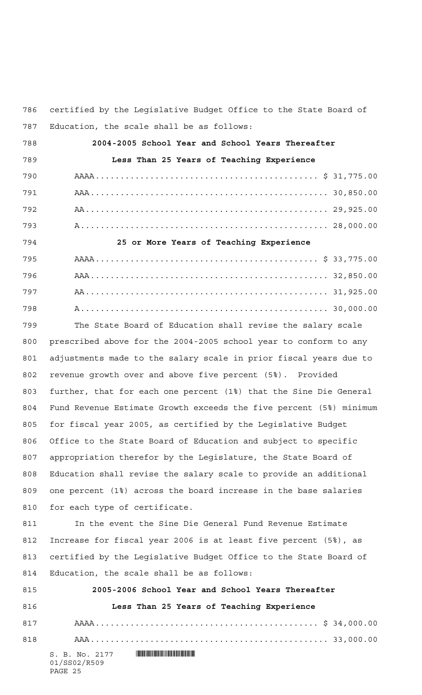certified by the Legislative Budget Office to the State Board of Education, the scale shall be as follows:

| 788 | 2004-2005 School Year and School Years Thereafter |
|-----|---------------------------------------------------|
| 789 | Less Than 25 Years of Teaching Experience         |
| 790 |                                                   |
| 791 |                                                   |
| 792 |                                                   |
| 793 |                                                   |
| 794 | 25 or More Years of Teaching Experience           |
| 795 |                                                   |
| 796 |                                                   |
| 797 |                                                   |
| 798 |                                                   |

 The State Board of Education shall revise the salary scale prescribed above for the 2004-2005 school year to conform to any adjustments made to the salary scale in prior fiscal years due to revenue growth over and above five percent (5%). Provided further, that for each one percent (1%) that the Sine Die General Fund Revenue Estimate Growth exceeds the five percent (5%) minimum for fiscal year 2005, as certified by the Legislative Budget Office to the State Board of Education and subject to specific appropriation therefor by the Legislature, the State Board of Education shall revise the salary scale to provide an additional one percent (1%) across the board increase in the base salaries for each type of certificate.

811 In the event the Sine Die General Fund Revenue Estimate Increase for fiscal year 2006 is at least five percent (5%), as certified by the Legislative Budget Office to the State Board of Education, the scale shall be as follows:

| 815 | 2005-2006 School Year and School Years Thereafter |
|-----|---------------------------------------------------|
| 816 | Less Than 25 Years of Teaching Experience         |
| 817 |                                                   |
| 818 |                                                   |
|     |                                                   |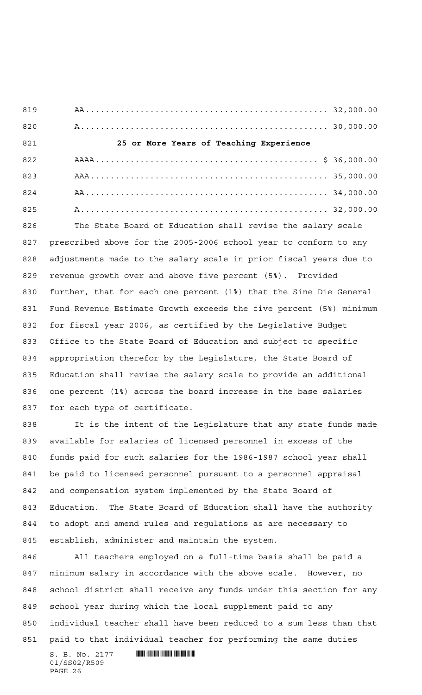AA................................................. 32,000.00 A.................................................. 30,000.00 **25 or More Years of Teaching Experience** AAAA............................................. \$ 36,000.00 AAA................................................ 35,000.00 AA................................................. 34,000.00 A.................................................. 32,000.00 The State Board of Education shall revise the salary scale

 prescribed above for the 2005-2006 school year to conform to any adjustments made to the salary scale in prior fiscal years due to revenue growth over and above five percent (5%). Provided further, that for each one percent (1%) that the Sine Die General Fund Revenue Estimate Growth exceeds the five percent (5%) minimum for fiscal year 2006, as certified by the Legislative Budget Office to the State Board of Education and subject to specific appropriation therefor by the Legislature, the State Board of Education shall revise the salary scale to provide an additional one percent (1%) across the board increase in the base salaries for each type of certificate.

 It is the intent of the Legislature that any state funds made available for salaries of licensed personnel in excess of the funds paid for such salaries for the 1986-1987 school year shall be paid to licensed personnel pursuant to a personnel appraisal and compensation system implemented by the State Board of Education. The State Board of Education shall have the authority to adopt and amend rules and regulations as are necessary to establish, administer and maintain the system.

 All teachers employed on a full-time basis shall be paid a minimum salary in accordance with the above scale. However, no school district shall receive any funds under this section for any school year during which the local supplement paid to any individual teacher shall have been reduced to a sum less than that paid to that individual teacher for performing the same duties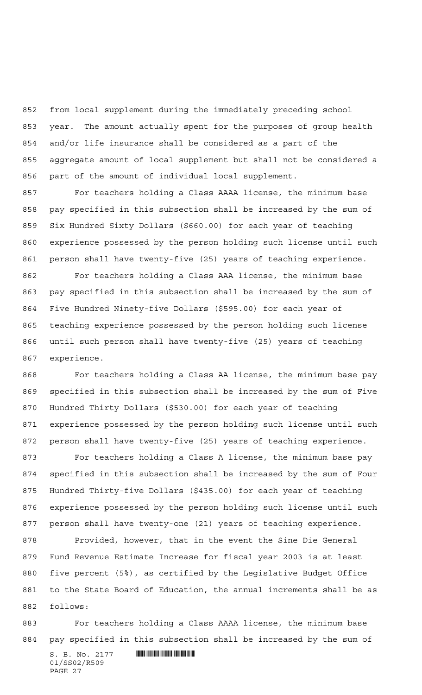from local supplement during the immediately preceding school year. The amount actually spent for the purposes of group health and/or life insurance shall be considered as a part of the aggregate amount of local supplement but shall not be considered a part of the amount of individual local supplement.

 For teachers holding a Class AAAA license, the minimum base pay specified in this subsection shall be increased by the sum of Six Hundred Sixty Dollars (\$660.00) for each year of teaching experience possessed by the person holding such license until such person shall have twenty-five (25) years of teaching experience.

 For teachers holding a Class AAA license, the minimum base pay specified in this subsection shall be increased by the sum of Five Hundred Ninety-five Dollars (\$595.00) for each year of teaching experience possessed by the person holding such license until such person shall have twenty-five (25) years of teaching experience.

 For teachers holding a Class AA license, the minimum base pay specified in this subsection shall be increased by the sum of Five Hundred Thirty Dollars (\$530.00) for each year of teaching experience possessed by the person holding such license until such person shall have twenty-five (25) years of teaching experience.

 For teachers holding a Class A license, the minimum base pay specified in this subsection shall be increased by the sum of Four Hundred Thirty-five Dollars (\$435.00) for each year of teaching experience possessed by the person holding such license until such person shall have twenty-one (21) years of teaching experience.

 Provided, however, that in the event the Sine Die General Fund Revenue Estimate Increase for fiscal year 2003 is at least five percent (5%), as certified by the Legislative Budget Office to the State Board of Education, the annual increments shall be as follows:

 For teachers holding a Class AAAA license, the minimum base pay specified in this subsection shall be increased by the sum of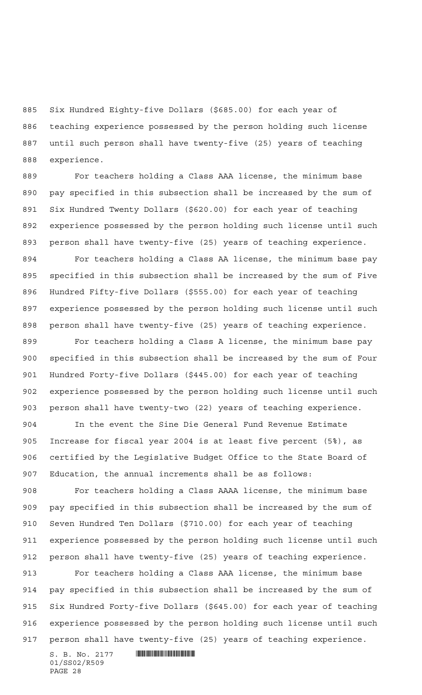Six Hundred Eighty-five Dollars (\$685.00) for each year of teaching experience possessed by the person holding such license until such person shall have twenty-five (25) years of teaching experience.

 For teachers holding a Class AAA license, the minimum base pay specified in this subsection shall be increased by the sum of Six Hundred Twenty Dollars (\$620.00) for each year of teaching experience possessed by the person holding such license until such person shall have twenty-five (25) years of teaching experience. For teachers holding a Class AA license, the minimum base pay specified in this subsection shall be increased by the sum of Five Hundred Fifty-five Dollars (\$555.00) for each year of teaching

 experience possessed by the person holding such license until such person shall have twenty-five (25) years of teaching experience.

 For teachers holding a Class A license, the minimum base pay specified in this subsection shall be increased by the sum of Four Hundred Forty-five Dollars (\$445.00) for each year of teaching experience possessed by the person holding such license until such person shall have twenty-two (22) years of teaching experience.

 In the event the Sine Die General Fund Revenue Estimate Increase for fiscal year 2004 is at least five percent (5%), as certified by the Legislative Budget Office to the State Board of Education, the annual increments shall be as follows:

 For teachers holding a Class AAAA license, the minimum base pay specified in this subsection shall be increased by the sum of Seven Hundred Ten Dollars (\$710.00) for each year of teaching experience possessed by the person holding such license until such person shall have twenty-five (25) years of teaching experience.

 For teachers holding a Class AAA license, the minimum base pay specified in this subsection shall be increased by the sum of Six Hundred Forty-five Dollars (\$645.00) for each year of teaching experience possessed by the person holding such license until such person shall have twenty-five (25) years of teaching experience.

 $S. B. No. 2177$  . We see the set of  $S. B. No. 2177$ 01/SS02/R509 PAGE 28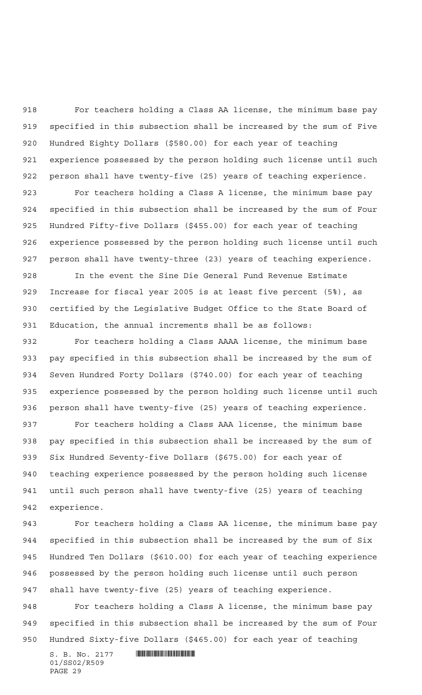For teachers holding a Class AA license, the minimum base pay specified in this subsection shall be increased by the sum of Five Hundred Eighty Dollars (\$580.00) for each year of teaching experience possessed by the person holding such license until such person shall have twenty-five (25) years of teaching experience.

 For teachers holding a Class A license, the minimum base pay specified in this subsection shall be increased by the sum of Four Hundred Fifty-five Dollars (\$455.00) for each year of teaching experience possessed by the person holding such license until such person shall have twenty-three (23) years of teaching experience.

 In the event the Sine Die General Fund Revenue Estimate Increase for fiscal year 2005 is at least five percent (5%), as certified by the Legislative Budget Office to the State Board of Education, the annual increments shall be as follows:

 For teachers holding a Class AAAA license, the minimum base pay specified in this subsection shall be increased by the sum of Seven Hundred Forty Dollars (\$740.00) for each year of teaching experience possessed by the person holding such license until such person shall have twenty-five (25) years of teaching experience.

 For teachers holding a Class AAA license, the minimum base pay specified in this subsection shall be increased by the sum of Six Hundred Seventy-five Dollars (\$675.00) for each year of teaching experience possessed by the person holding such license until such person shall have twenty-five (25) years of teaching experience.

 For teachers holding a Class AA license, the minimum base pay specified in this subsection shall be increased by the sum of Six Hundred Ten Dollars (\$610.00) for each year of teaching experience possessed by the person holding such license until such person shall have twenty-five (25) years of teaching experience.

 For teachers holding a Class A license, the minimum base pay specified in this subsection shall be increased by the sum of Four Hundred Sixty-five Dollars (\$465.00) for each year of teaching

 $S. B. No. 2177$  . We see the set of  $S. B. No. 2177$ 01/SS02/R509 PAGE 29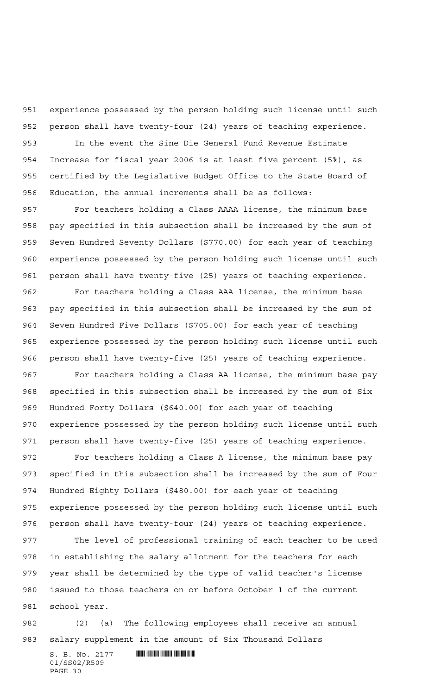experience possessed by the person holding such license until such person shall have twenty-four (24) years of teaching experience.

 In the event the Sine Die General Fund Revenue Estimate Increase for fiscal year 2006 is at least five percent (5%), as certified by the Legislative Budget Office to the State Board of Education, the annual increments shall be as follows:

 For teachers holding a Class AAAA license, the minimum base pay specified in this subsection shall be increased by the sum of Seven Hundred Seventy Dollars (\$770.00) for each year of teaching experience possessed by the person holding such license until such person shall have twenty-five (25) years of teaching experience.

 For teachers holding a Class AAA license, the minimum base pay specified in this subsection shall be increased by the sum of Seven Hundred Five Dollars (\$705.00) for each year of teaching experience possessed by the person holding such license until such person shall have twenty-five (25) years of teaching experience. For teachers holding a Class AA license, the minimum base pay specified in this subsection shall be increased by the sum of Six Hundred Forty Dollars (\$640.00) for each year of teaching

 experience possessed by the person holding such license until such person shall have twenty-five (25) years of teaching experience.

 For teachers holding a Class A license, the minimum base pay specified in this subsection shall be increased by the sum of Four Hundred Eighty Dollars (\$480.00) for each year of teaching experience possessed by the person holding such license until such person shall have twenty-four (24) years of teaching experience.

 The level of professional training of each teacher to be used in establishing the salary allotment for the teachers for each year shall be determined by the type of valid teacher's license issued to those teachers on or before October 1 of the current school year.

 (2) (a) The following employees shall receive an annual salary supplement in the amount of Six Thousand Dollars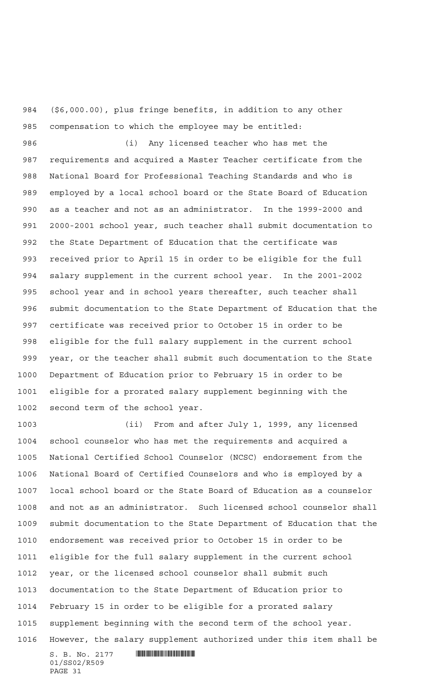(\$6,000.00), plus fringe benefits, in addition to any other compensation to which the employee may be entitled:

 (i) Any licensed teacher who has met the requirements and acquired a Master Teacher certificate from the National Board for Professional Teaching Standards and who is employed by a local school board or the State Board of Education as a teacher and not as an administrator. In the 1999-2000 and 2000-2001 school year, such teacher shall submit documentation to the State Department of Education that the certificate was received prior to April 15 in order to be eligible for the full salary supplement in the current school year. In the 2001-2002 school year and in school years thereafter, such teacher shall submit documentation to the State Department of Education that the certificate was received prior to October 15 in order to be eligible for the full salary supplement in the current school year, or the teacher shall submit such documentation to the State Department of Education prior to February 15 in order to be eligible for a prorated salary supplement beginning with the second term of the school year.

 (ii) From and after July 1, 1999, any licensed school counselor who has met the requirements and acquired a National Certified School Counselor (NCSC) endorsement from the National Board of Certified Counselors and who is employed by a local school board or the State Board of Education as a counselor and not as an administrator. Such licensed school counselor shall submit documentation to the State Department of Education that the endorsement was received prior to October 15 in order to be eligible for the full salary supplement in the current school year, or the licensed school counselor shall submit such documentation to the State Department of Education prior to February 15 in order to be eligible for a prorated salary supplement beginning with the second term of the school year. However, the salary supplement authorized under this item shall be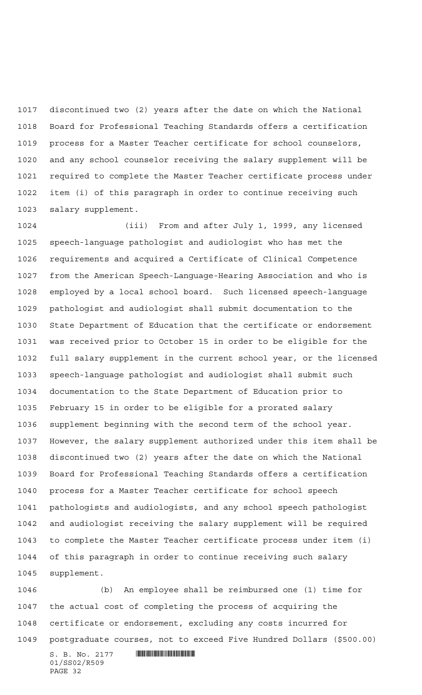discontinued two (2) years after the date on which the National Board for Professional Teaching Standards offers a certification process for a Master Teacher certificate for school counselors, and any school counselor receiving the salary supplement will be required to complete the Master Teacher certificate process under item (i) of this paragraph in order to continue receiving such salary supplement.

 (iii) From and after July 1, 1999, any licensed speech-language pathologist and audiologist who has met the requirements and acquired a Certificate of Clinical Competence from the American Speech-Language-Hearing Association and who is employed by a local school board. Such licensed speech-language pathologist and audiologist shall submit documentation to the State Department of Education that the certificate or endorsement was received prior to October 15 in order to be eligible for the full salary supplement in the current school year, or the licensed speech-language pathologist and audiologist shall submit such documentation to the State Department of Education prior to February 15 in order to be eligible for a prorated salary supplement beginning with the second term of the school year. However, the salary supplement authorized under this item shall be discontinued two (2) years after the date on which the National Board for Professional Teaching Standards offers a certification process for a Master Teacher certificate for school speech pathologists and audiologists, and any school speech pathologist and audiologist receiving the salary supplement will be required to complete the Master Teacher certificate process under item (i) of this paragraph in order to continue receiving such salary supplement.

 (b) An employee shall be reimbursed one (1) time for the actual cost of completing the process of acquiring the certificate or endorsement, excluding any costs incurred for postgraduate courses, not to exceed Five Hundred Dollars (\$500.00)

 $\textbf{S. B. No. } 2177 \quad \textbf{||||} \textbf{||||} \textbf{||} \textbf{||} \textbf{||} \textbf{||} \textbf{||} \textbf{||} \textbf{||} \textbf{||} \textbf{||} \textbf{||} \textbf{||} \textbf{||} \textbf{||} \textbf{||} \textbf{||} \textbf{||} \textbf{||} \textbf{||} \textbf{||} \textbf{||} \textbf{||} \textbf{||} \textbf{||} \textbf{||} \textbf{||} \textbf{||} \textbf{||} \textbf{||} \textbf{||} \textbf{||} \textbf{||} \text$ 01/SS02/R509 PAGE 32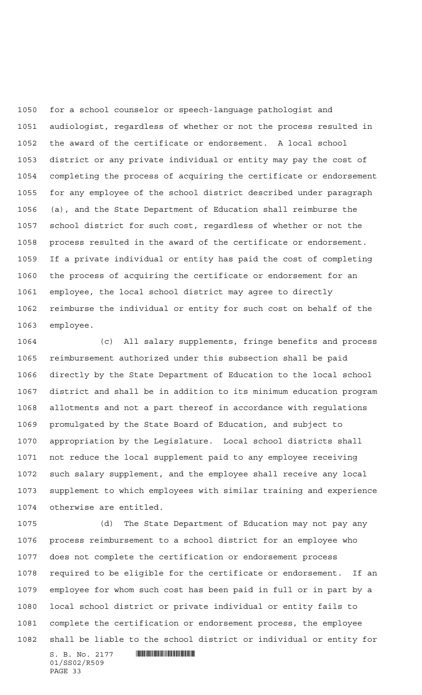for a school counselor or speech-language pathologist and audiologist, regardless of whether or not the process resulted in the award of the certificate or endorsement. A local school district or any private individual or entity may pay the cost of completing the process of acquiring the certificate or endorsement for any employee of the school district described under paragraph (a), and the State Department of Education shall reimburse the school district for such cost, regardless of whether or not the process resulted in the award of the certificate or endorsement. If a private individual or entity has paid the cost of completing the process of acquiring the certificate or endorsement for an employee, the local school district may agree to directly reimburse the individual or entity for such cost on behalf of the employee.

 (c) All salary supplements, fringe benefits and process reimbursement authorized under this subsection shall be paid directly by the State Department of Education to the local school district and shall be in addition to its minimum education program allotments and not a part thereof in accordance with regulations promulgated by the State Board of Education, and subject to appropriation by the Legislature. Local school districts shall not reduce the local supplement paid to any employee receiving such salary supplement, and the employee shall receive any local supplement to which employees with similar training and experience otherwise are entitled.

 (d) The State Department of Education may not pay any process reimbursement to a school district for an employee who does not complete the certification or endorsement process required to be eligible for the certificate or endorsement. If an employee for whom such cost has been paid in full or in part by a local school district or private individual or entity fails to complete the certification or endorsement process, the employee shall be liable to the school district or individual or entity for

 $S. B. No. 2177$  . THE SET OF SET OF SET OF SET OF SET OF SET OF SET OF SET OF SET OF SET OF SET OF SET OF SET OF SET OF SET OF SET OF SET OF SET OF SET OF SET OF SET OF SET OF SET OF SET OF SET OF SET OF SET OF SET OF SET O 01/SS02/R509 PAGE 33